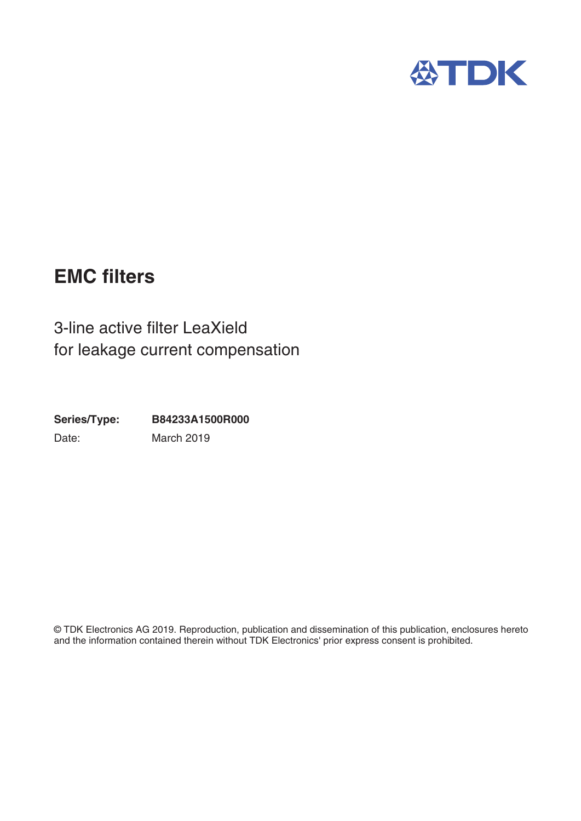

# **EMC filters**

3-line active filter LeaXield for leakage current compensation

**Series/Type: B84233A1500R000** Date: March 2019

© TDK Electronics AG 2019. Reproduction, publication and dissemination of this publication, enclosures hereto and the information contained therein without TDK Electronics' prior express consent is prohibited.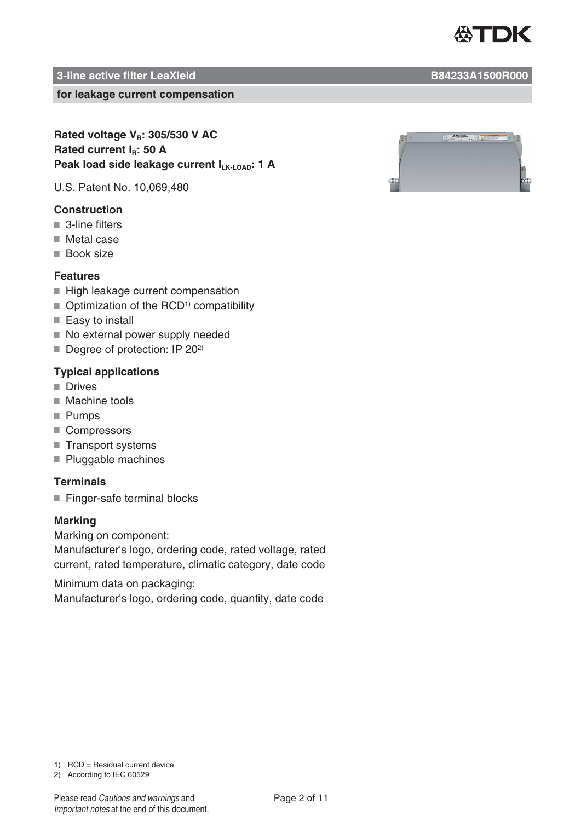

#### **for leakage current compensation**

**Rated voltage V<sub>R</sub>: 305/530 V AC** Rated current I<sub>R</sub>: 50 A Peak load side leakage current I<sub>LK-LOAD</sub>: 1 A

U.S. Patent No. 10,069,480

### **Construction**

- 3-line filters
- Metal case
- Book size

#### **Features**

- $\blacksquare$  High leakage current compensation
- $\blacksquare$  Optimization of the RCD<sup>1)</sup> compatibility
- $\blacksquare$  Easy to install
- No external power supply needed
- $\blacksquare$  Degree of protection: IP 20<sup>2)</sup>

#### **Typical applications**

- **Drives**
- Machine tools
- **Pumps**
- Compressors
- Transport systems
- Pluggable machines

### **Terminals**

Finger-safe terminal blocks

#### **Marking**

Marking on component:

Manufacturer's logo, ordering code, rated voltage, rated current, rated temperature, climatic category, date code

Minimum data on packaging: Manufacturer's logo, ordering code, quantity, date code

1) RCD = Residual current device

2) According to IEC 60529

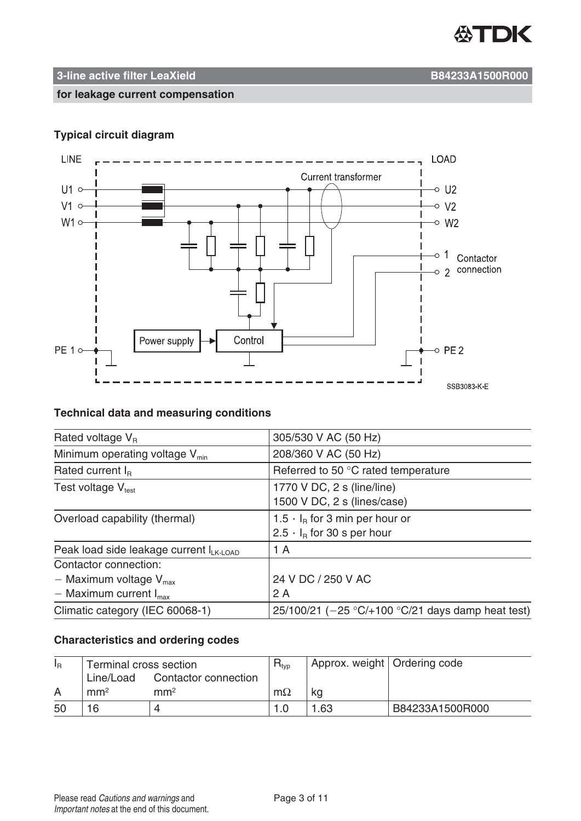

**for leakage current compensation**

# **Typical circuit diagram**



# **Technical data and measuring conditions**

| Rated voltage $V_R$                        | 305/530 V AC (50 Hz)                                    |
|--------------------------------------------|---------------------------------------------------------|
| Minimum operating voltage $V_{\text{min}}$ | 208/360 V AC (50 Hz)                                    |
| Rated current $I_R$                        | Referred to 50 °C rated temperature                     |
| Test voltage $V_{test}$                    | 1770 V DC, 2 s (line/line)                              |
|                                            | 1500 V DC, 2 s (lines/case)                             |
| Overload capability (thermal)              | 1.5 $\cdot$ I <sub>B</sub> for 3 min per hour or        |
|                                            | $2.5 \cdot I_R$ for 30 s per hour                       |
| Peak load side leakage current ILK-LOAD    | 1A                                                      |
| Contactor connection:                      |                                                         |
| - Maximum voltage $V_{max}$                | 24 V DC / 250 V AC                                      |
| - Maximum current $I_{max}$                | 2 A                                                     |
| Climatic category (IEC 60068-1)            | 25/100/21 ( $-25$ °C/ $+100$ °C/21 days damp heat test) |

# **Characteristics and ordering codes**

| <sup>I</sup> R | Terminal cross section |                      | $R_{\text{typ}}$ | Approx. weight   Ordering code |                 |
|----------------|------------------------|----------------------|------------------|--------------------------------|-----------------|
|                | Line/Load              | Contactor connection |                  |                                |                 |
| А              | mm <sup>2</sup>        | mm <sup>2</sup>      | $m\Omega$        | kq                             |                 |
| 50             | 16                     |                      | 1.0              | ∣.63                           | B84233A1500R000 |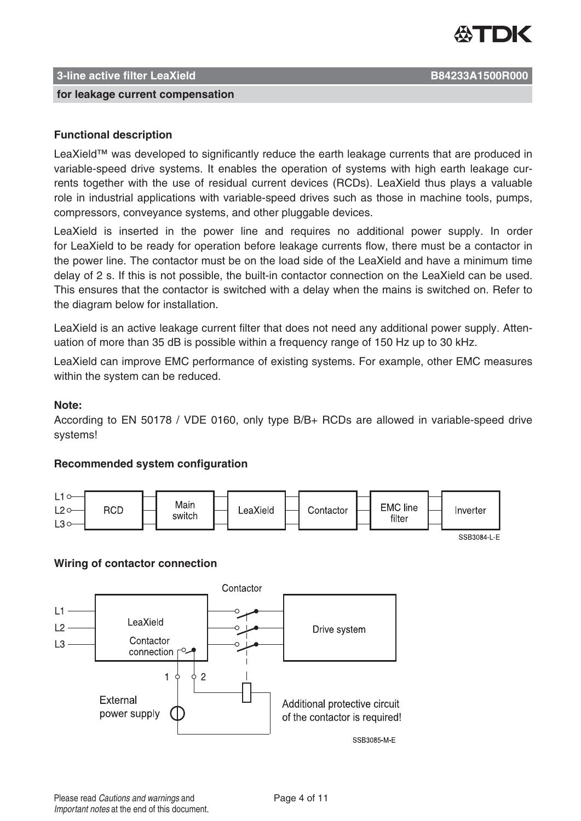

#### **for leakage current compensation**

#### **Functional description**

LeaXield™ was developed to significantly reduce the earth leakage currents that are produced in variable-speed drive systems. It enables the operation of systems with high earth leakage currents together with the use of residual current devices (RCDs). LeaXield thus plays a valuable role in industrial applications with variable-speed drives such as those in machine tools, pumps, compressors, conveyance systems, and other pluggable devices.

LeaXield is inserted in the power line and requires no additional power supply. In order for LeaXield to be ready for operation before leakage currents flow, there must be a contactor in the power line. The contactor must be on the load side of the LeaXield and have a minimum time delay of 2 s. If this is not possible, the built-in contactor connection on the LeaXield can be used. This ensures that the contactor is switched with a delay when the mains is switched on. Refer to the diagram below for installation.

LeaXield is an active leakage current filter that does not need any additional power supply. Attenuation of more than 35 dB is possible within a frequency range of 150 Hz up to 30 kHz.

LeaXield can improve EMC performance of existing systems. For example, other EMC measures within the system can be reduced.

#### **Note:**

According to EN 50178 / VDE 0160, only type B/B+ RCDs are allowed in variable-speed drive systems!

### **Recommended system configuration**



#### **Wiring of contactor connection**

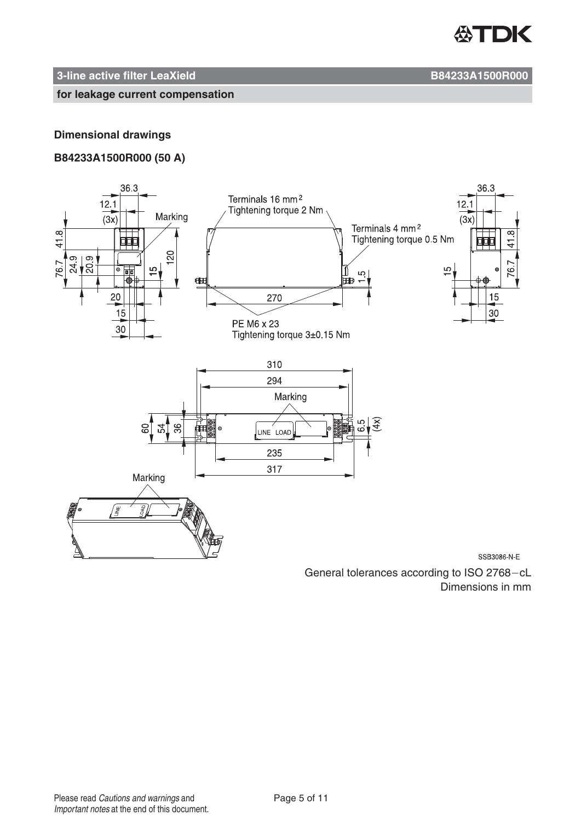

#### **for leakage current compensation**

### **Dimensional drawings**

# **B84233A1500R000 (50 A)**



Dimensions in mm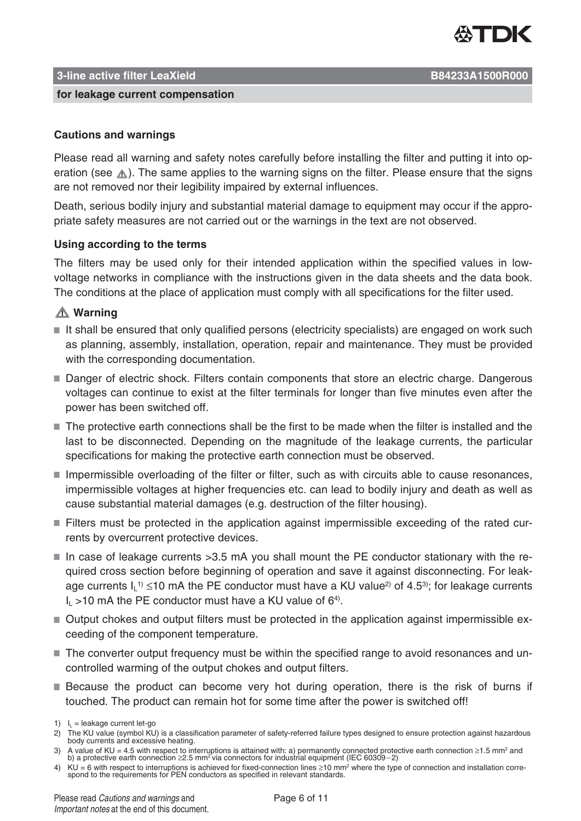

#### **for leakage current compensation**

#### **Cautions and warnings**

Please read all warning and safety notes carefully before installing the filter and putting it into operation (see  $\triangle$ ). The same applies to the warning signs on the filter. Please ensure that the signs are not removed nor their legibility impaired by external influences.

Death, serious bodily injury and substantial material damage to equipment may occur if the appropriate safety measures are not carried out or the warnings in the text are not observed.

#### **Using according to the terms**

The filters may be used only for their intended application within the specified values in lowvoltage networks in compliance with the instructions given in the data sheets and the data book. The conditions at the place of application must comply with all specifications for the filter used.

## **Warning**

- $\blacksquare$  It shall be ensured that only qualified persons (electricity specialists) are engaged on work such as planning, assembly, installation, operation, repair and maintenance. They must be provided with the corresponding documentation.
- Danger of electric shock. Filters contain components that store an electric charge. Dangerous voltages can continue to exist at the filter terminals for longer than five minutes even after the power has been switched off.
- The protective earth connections shall be the first to be made when the filter is installed and the last to be disconnected. Depending on the magnitude of the leakage currents, the particular specifications for making the protective earth connection must be observed.
- Impermissible overloading of the filter or filter, such as with circuits able to cause resonances, impermissible voltages at higher frequencies etc. can lead to bodily injury and death as well as cause substantial material damages (e.g. destruction of the filter housing).
- Filters must be protected in the application against impermissible exceeding of the rated currents by overcurrent protective devices.
- In case of leakage currents  $>3.5$  mA you shall mount the PE conductor stationary with the required cross section before beginning of operation and save it against disconnecting. For leakage currents  $I_L$ <sup>1)</sup> ≤10 mA the PE conductor must have a KU value<sup>2)</sup> of 4.5<sup>3)</sup>; for leakage currents  $I_1$  >10 mA the PE conductor must have a KU value of 6<sup>4)</sup>.
- Output chokes and output filters must be protected in the application against impermissible exceeding of the component temperature.
- The converter output frequency must be within the specified range to avoid resonances and uncontrolled warming of the output chokes and output filters.
- **Because the product can become very hot during operation, there is the risk of burns if** touched. The product can remain hot for some time after the power is switched off!

- 3) A value of KU = 4.5 with respect to interruptions is attained with: a) permanently connected protective earth connection ≥1.5 mm<sup>2</sup> and<br>b) a protective earth connection ≥2.5 mm<sup>2</sup> via connectors for industrial equipme
- 4) KU = 6 with respect to interruptions is achieved for fixed-connection lines  $\geq$ 10 mm<sup>2</sup> where the type of connection and installation corre-<br>spond to the requirements for PEN conductors as specified in relevant stand

<sup>1)</sup>  $I_L$  = leakage current let-go

<sup>2)</sup> The KU value (symbol KU) is a classification parameter of safety-referred failure types designed to ensure protection against hazardous body currents and excessive heating.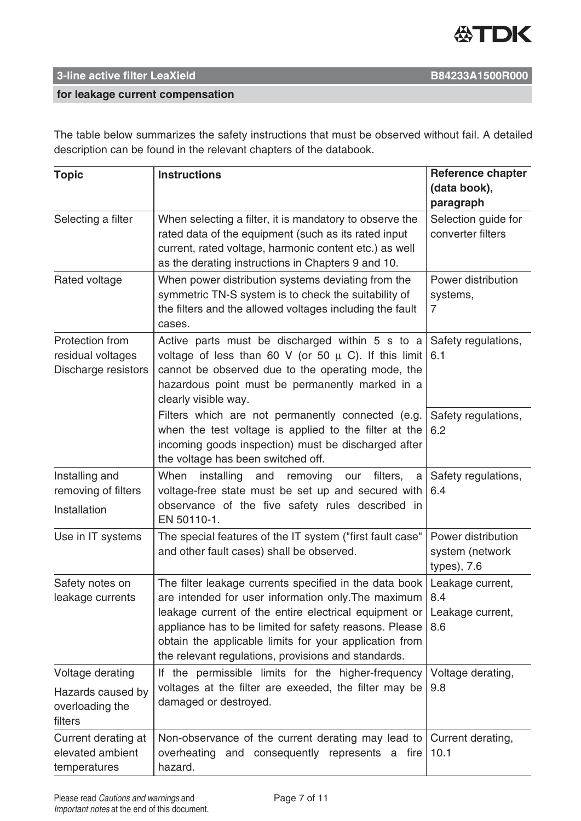

#### **for leakage current compensation**

The table below summarizes the safety instructions that must be observed without fail. A detailed description can be found in the relevant chapters of the databook.

| <b>Topic</b>                                                | <b>Instructions</b>                                                                                                                                                                                                                                                                                                                               | <b>Reference chapter</b><br>(data book),<br>paragraph |
|-------------------------------------------------------------|---------------------------------------------------------------------------------------------------------------------------------------------------------------------------------------------------------------------------------------------------------------------------------------------------------------------------------------------------|-------------------------------------------------------|
| Selecting a filter                                          | When selecting a filter, it is mandatory to observe the<br>rated data of the equipment (such as its rated input<br>current, rated voltage, harmonic content etc.) as well<br>as the derating instructions in Chapters 9 and 10.                                                                                                                   | Selection guide for<br>converter filters              |
| Rated voltage                                               | When power distribution systems deviating from the<br>symmetric TN-S system is to check the suitability of<br>the filters and the allowed voltages including the fault<br>cases.                                                                                                                                                                  | Power distribution<br>systems,<br>7                   |
| Protection from<br>residual voltages<br>Discharge resistors | Active parts must be discharged within 5 s to a<br>voltage of less than 60 V (or 50 $\mu$ C). If this limit<br>cannot be observed due to the operating mode, the<br>hazardous point must be permanently marked in a<br>clearly visible way.                                                                                                       | Safety regulations,<br>6.1                            |
|                                                             | Filters which are not permanently connected (e.g.<br>when the test voltage is applied to the filter at the<br>incoming goods inspection) must be discharged after<br>the voltage has been switched off.                                                                                                                                           | Safety regulations,<br>6.2                            |
| Installing and<br>removing of filters<br>Installation       | When<br>installing<br>and<br>removing<br>filters,<br>our<br>a<br>voltage-free state must be set up and secured with<br>observance of the five safety rules described in<br>EN 50110-1.                                                                                                                                                            | Safety regulations,<br>6.4                            |
| Use in IT systems                                           | The special features of the IT system ("first fault case"<br>and other fault cases) shall be observed.                                                                                                                                                                                                                                            | Power distribution<br>system (network<br>types), 7.6  |
| Safety notes on<br>leakage currents                         | The filter leakage currents specified in the data book<br>are intended for user information only. The maximum<br>leakage current of the entire electrical equipment or<br>appliance has to be limited for safety reasons. Please<br>obtain the applicable limits for your application from<br>the relevant regulations, provisions and standards. | Leakage current,<br>8.4<br>Leakage current,<br>8.6    |
| Voltage derating                                            | If the permissible limits for the higher-frequency                                                                                                                                                                                                                                                                                                | Voltage derating,                                     |
| Hazards caused by<br>overloading the<br>filters             | voltages at the filter are exeeded, the filter may be<br>damaged or destroyed.                                                                                                                                                                                                                                                                    | 9.8                                                   |
| Current derating at<br>elevated ambient<br>temperatures     | Non-observance of the current derating may lead to<br>overheating and consequently represents a fire<br>hazard.                                                                                                                                                                                                                                   | Current derating,<br>10.1                             |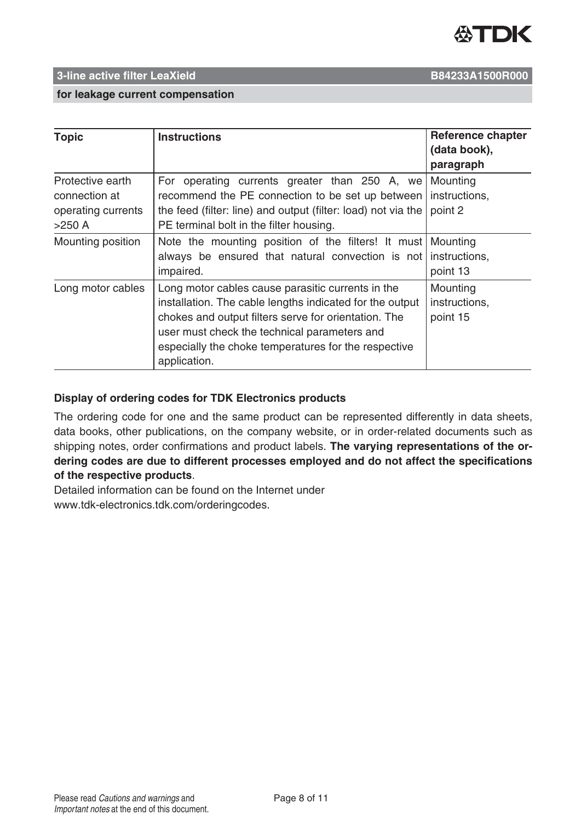

#### **for leakage current compensation**

| <b>Topic</b>                                                        | <b>Instructions</b>                                                                                                                                                                                                                                                                           | <b>Reference chapter</b><br>(data book),<br>paragraph |
|---------------------------------------------------------------------|-----------------------------------------------------------------------------------------------------------------------------------------------------------------------------------------------------------------------------------------------------------------------------------------------|-------------------------------------------------------|
| Protective earth<br>connection at<br>operating currents<br>$>250$ A | For operating currents greater than 250 A, we<br>recommend the PE connection to be set up between<br>the feed (filter: line) and output (filter: load) not via the<br>PE terminal bolt in the filter housing.                                                                                 | Mounting<br>instructions,<br>point 2                  |
| Mounting position                                                   | Note the mounting position of the filters! It must<br>always be ensured that natural convection is not<br>impaired.                                                                                                                                                                           | Mounting<br>instructions,<br>point 13                 |
| Long motor cables                                                   | Long motor cables cause parasitic currents in the<br>installation. The cable lengths indicated for the output<br>chokes and output filters serve for orientation. The<br>user must check the technical parameters and<br>especially the choke temperatures for the respective<br>application. | Mounting<br>instructions,<br>point 15                 |

#### **Display of ordering codes for TDK Electronics products**

The ordering code for one and the same product can be represented differently in data sheets, data books, other publications, on the company website, or in order-related documents such as shipping notes, order confirmations and product labels. **The varying representations of the ordering codes are due to different processes employed and do not affect the specifications of the respective products**.

Detailed information can be found on the Internet under www.tdk-electronics.tdk.com/orderingcodes.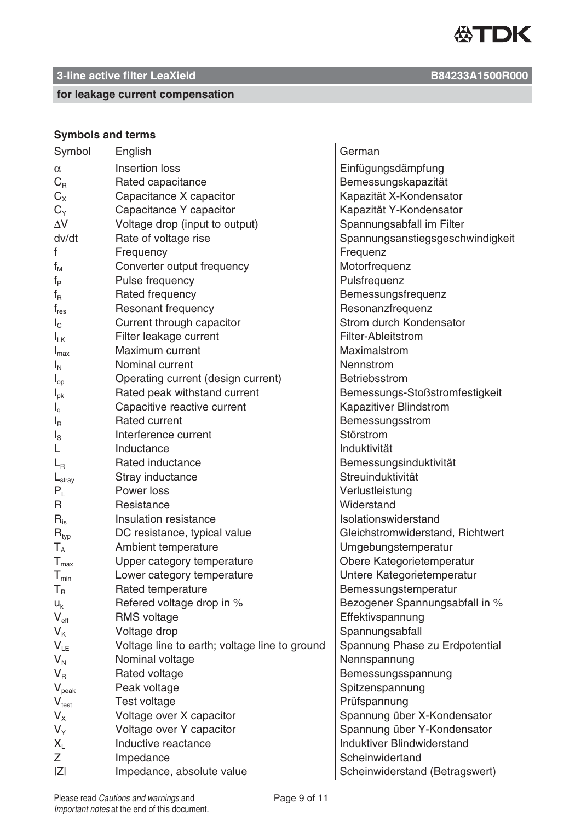

# **for leakage current compensation**

# **Symbols and terms**

| Symbol                       | English                                       | German                           |
|------------------------------|-----------------------------------------------|----------------------------------|
| $\alpha$                     | Insertion loss                                | Einfügungsdämpfung               |
| $C_R$                        | Rated capacitance                             | Bemessungskapazität              |
| $C_{X}$                      | Capacitance X capacitor                       | Kapazität X-Kondensator          |
| $C_Y$                        | Capacitance Y capacitor                       | Kapazität Y-Kondensator          |
| $\Delta \rm{V}$              | Voltage drop (input to output)                | Spannungsabfall im Filter        |
| dv/dt                        | Rate of voltage rise                          | Spannungsanstiegsgeschwindigkeit |
| f                            | Frequency                                     | Frequenz                         |
| $f_{\mathsf{M}}$             | Converter output frequency                    | Motorfrequenz                    |
| $f_{\mathsf{P}}$             | Pulse frequency                               | Pulsfrequenz                     |
| $f_R$                        | Rated frequency                               | Bemessungsfrequenz               |
| $\mathsf{f}_{\mathsf{res}}$  | <b>Resonant frequency</b>                     | Resonanzfrequenz                 |
| $I_{\rm C}$                  | Current through capacitor                     | Strom durch Kondensator          |
| $I_{LK}$                     | Filter leakage current                        | Filter-Ableitstrom               |
| $I_{\text{max}}$             | Maximum current                               | Maximalstrom                     |
| $I_{N}$                      | Nominal current                               | Nennstrom                        |
| $I_{op}$                     | Operating current (design current)            | Betriebsstrom                    |
| $I_{\rm pk}$                 | Rated peak withstand current                  | Bemessungs-Stoßstromfestigkeit   |
| $I_q$                        | Capacitive reactive current                   | Kapazitiver Blindstrom           |
| $I_{R}$                      | <b>Rated current</b>                          | Bemessungsstrom                  |
| $I_{\rm S}$                  | Interference current                          | Störstrom                        |
|                              | Inductance                                    | Induktivität                     |
| $L_{\rm R}$                  | Rated inductance                              | Bemessungsinduktivität           |
| $L_{\text{stray}}$           | Stray inductance                              | Streuinduktivität                |
| $P_L$                        | Power loss                                    | Verlustleistung                  |
| R                            | Resistance                                    | Widerstand                       |
| $R_{is}$                     | Insulation resistance                         | Isolationswiderstand             |
| $R_{typ}$                    | DC resistance, typical value                  | Gleichstromwiderstand, Richtwert |
| $\mathsf{T}_\mathsf{A}$      | Ambient temperature                           | Umgebungstemperatur              |
| ${\mathsf T}_{\textsf{max}}$ | Upper category temperature                    | Obere Kategorietemperatur        |
| $\mathsf{T}_{\mathsf{min}}$  | Lower category temperature                    | Untere Kategorietemperatur       |
| $T_R$                        | Rated temperature                             | Bemessungstemperatur             |
| $U_{k}$                      | Refered voltage drop in %                     | Bezogener Spannungsabfall in %   |
| $V_{\text{eff}}$             | <b>RMS</b> voltage                            | Effektivspannung                 |
| $V_{K}$                      | Voltage drop                                  | Spannungsabfall                  |
| $V_{LE}$                     | Voltage line to earth; voltage line to ground | Spannung Phase zu Erdpotential   |
| $V_{N}$                      | Nominal voltage                               | Nennspannung                     |
| $V_{R}$                      | Rated voltage                                 | Bemessungsspannung               |
| $V_{peak}$                   | Peak voltage                                  | Spitzenspannung                  |
| $V_{test}$                   | Test voltage                                  | Prüfspannung                     |
| $V_{X}$                      | Voltage over X capacitor                      | Spannung über X-Kondensator      |
| $V_Y$                        | Voltage over Y capacitor                      | Spannung über Y-Kondensator      |
| $X_L$                        | Inductive reactance                           | Induktiver Blindwiderstand       |
| Ζ                            | Impedance                                     | Scheinwidertand                  |
| Z                            | Impedance, absolute value                     | Scheinwiderstand (Betragswert)   |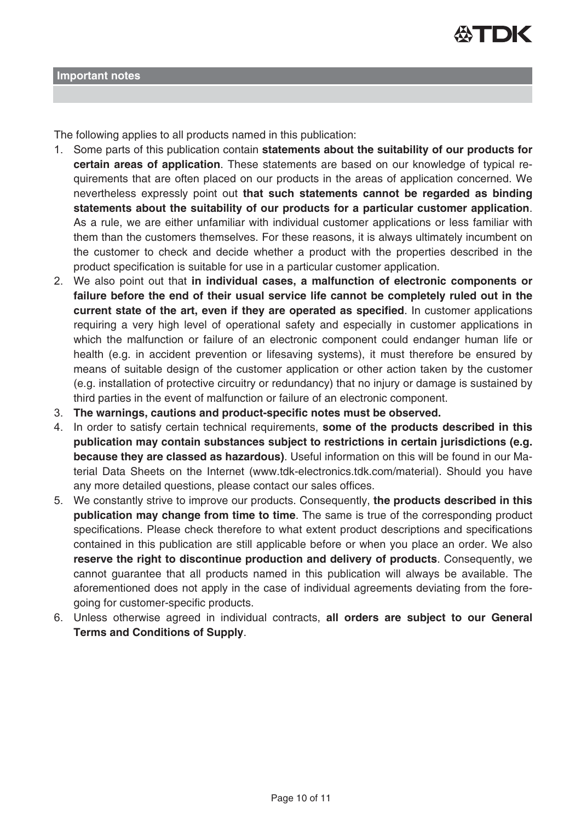

The following applies to all products named in this publication:

- 1. Some parts of this publication contain **statements about the suitability of our products for certain areas of application**. These statements are based on our knowledge of typical requirements that are often placed on our products in the areas of application concerned. We nevertheless expressly point out **that such statements cannot be regarded as binding statements about the suitability of our products for a particular customer application**. As a rule, we are either unfamiliar with individual customer applications or less familiar with them than the customers themselves. For these reasons, it is always ultimately incumbent on the customer to check and decide whether a product with the properties described in the product specification is suitable for use in a particular customer application.
- 2. We also point out that **in individual cases, a malfunction of electronic components or failure before the end of their usual service life cannot be completely ruled out in the current state of the art, even if they are operated as specified**. In customer applications requiring a very high level of operational safety and especially in customer applications in which the malfunction or failure of an electronic component could endanger human life or health (e.g. in accident prevention or lifesaving systems), it must therefore be ensured by means of suitable design of the customer application or other action taken by the customer (e.g. installation of protective circuitry or redundancy) that no injury or damage is sustained by third parties in the event of malfunction or failure of an electronic component.
- 3. **The warnings, cautions and product-specific notes must be observed.**
- 4. In order to satisfy certain technical requirements, **some of the products described in this publication may contain substances subject to restrictions in certain jurisdictions (e.g. because they are classed as hazardous)**. Useful information on this will be found in our Material Data Sheets on the Internet (www.tdk-electronics.tdk.com/material). Should you have any more detailed questions, please contact our sales offices.
- 5. We constantly strive to improve our products. Consequently, **the products described in this publication may change from time to time**. The same is true of the corresponding product specifications. Please check therefore to what extent product descriptions and specifications contained in this publication are still applicable before or when you place an order. We also **reserve the right to discontinue production and delivery of products**. Consequently, we cannot guarantee that all products named in this publication will always be available. The aforementioned does not apply in the case of individual agreements deviating from the foregoing for customer-specific products.
- 6. Unless otherwise agreed in individual contracts, **all orders are subject to our General Terms and Conditions of Supply**.